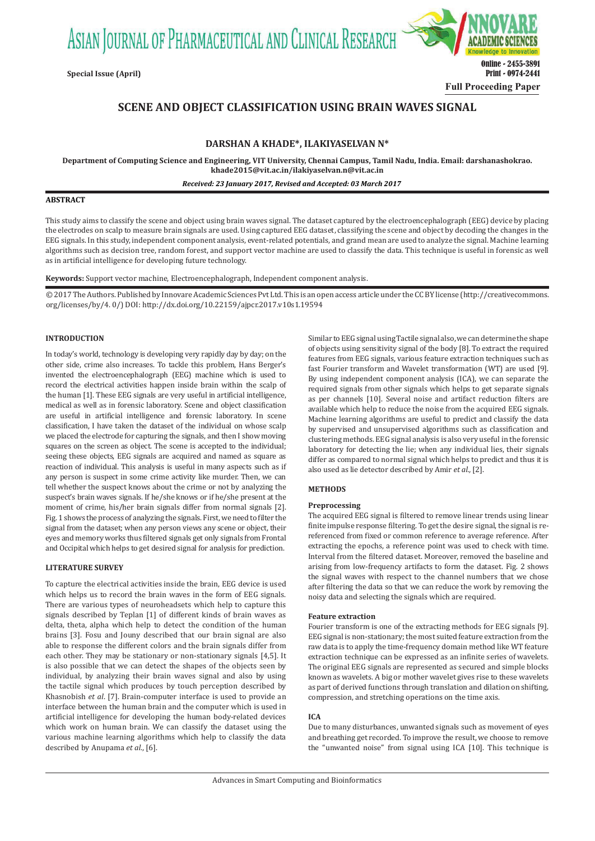ASIAN JOURNAL OF PHARMACEUTICAL AND CLINICAL RESEARCH



# **SCENE AND OBJECT CLASSIFICATION USING BRAIN WAVES SIGNAL**

# **DARSHAN A KHADE\*, ILAKIYASELVAN N\***

**Department of Computing Science and Engineering, VIT University, Chennai Campus, Tamil Nadu, India. Email: darshanashokrao. khade2015@vit.ac.in/ilakiyaselvan.n@vit.ac.in**

 *Received: 23 January 2017, Revised and Accepted: 03 March 2017*

#### **ABSTRACT**

This study aims to classify the scene and object using brain waves signal. The dataset captured by the electroencephalograph (EEG) device by placing the electrodes on scalp to measure brain signals are used. Using captured EEG dataset, classifying the scene and object by decoding the changes in the EEG signals. In this study, independent component analysis, event-related potentials, and grand mean are used to analyze the signal. Machine learning algorithms such as decision tree, random forest, and support vector machine are used to classify the data. This technique is useful in forensic as well as in artificial intelligence for developing future technology.

**Keywords:** Support vector machine, Electroencephalograph, Independent component analysis.

© 2017 The Authors. Published by Innovare Academic Sciences Pvt Ltd. This is an open access article under the CC BY license (http://creativecommons. org/licenses/by/4. 0/) DOI: http://dx.doi.org/10.22159/ajpcr.2017.v10s1.19594

#### **INTRODUCTION**

In today's world, technology is developing very rapidly day by day; on the other side, crime also increases. To tackle this problem, Hans Berger's invented the electroencephalograph (EEG) machine which is used to record the electrical activities happen inside brain within the scalp of the human [1]. These EEG signals are very useful in artificial intelligence, medical as well as in forensic laboratory. Scene and object classification are useful in artificial intelligence and forensic laboratory. In scene classification, I have taken the dataset of the individual on whose scalp we placed the electrode for capturing the signals, and then I show moving squares on the screen as object. The scene is accepted to the individual; seeing these objects, EEG signals are acquired and named as square as reaction of individual. This analysis is useful in many aspects such as if any person is suspect in some crime activity like murder. Then, we can tell whether the suspect knows about the crime or not by analyzing the suspect's brain waves signals. If he/she knows or if he/she present at the moment of crime, his/her brain signals differ from normal signals [2]. Fig. 1 shows the process of analyzing the signals. First, we need to filter the signal from the dataset; when any person views any scene or object, their eyes and memory works thus filtered signals get only signals from Frontal and Occipital which helps to get desired signal for analysis for prediction.

# **LITERATURE SURVEY**

To capture the electrical activities inside the brain, EEG device is used which helps us to record the brain waves in the form of EEG signals. There are various types of neuroheadsets which help to capture this signals described by Teplan [1] of different kinds of brain waves as delta, theta, alpha which help to detect the condition of the human brains [3]. Fosu and Jouny described that our brain signal are also able to response the different colors and the brain signals differ from each other. They may be stationary or non-stationary signals [4,5]. It is also possible that we can detect the shapes of the objects seen by individual, by analyzing their brain waves signal and also by using the tactile signal which produces by touch perception described by Khasnobish *et al*. [7]. Brain-computer interface is used to provide an interface between the human brain and the computer which is used in artificial intelligence for developing the human body-related devices which work on human brain. We can classify the dataset using the various machine learning algorithms which help to classify the data described by Anupama *et al.*, [6].

Similar to EEG signal using Tactile signal also, we can determine the shape of objects using sensitivity signal of the body [8]. To extract the required features from EEG signals, various feature extraction techniques such as fast Fourier transform and Wavelet transformation (WT) are used [9]. By using independent component analysis (ICA), we can separate the required signals from other signals which helps to get separate signals as per channels [10]. Several noise and artifact reduction filters are available which help to reduce the noise from the acquired EEG signals. Machine learning algorithms are useful to predict and classify the data by supervised and unsupervised algorithms such as classification and clustering methods. EEG signal analysis is also very useful in the forensic laboratory for detecting the lie; when any individual lies, their signals differ as compared to normal signal which helps to predict and thus it is also used as lie detector described by Amir *et al.,* [2].

#### **METHODS**

#### **Preprocessing**

The acquired EEG signal is filtered to remove linear trends using linear finite impulse response filtering. To get the desire signal, the signal is rereferenced from fixed or common reference to average reference. After extracting the epochs, a reference point was used to check with time. Interval from the filtered dataset. Moreover, removed the baseline and arising from low-frequency artifacts to form the dataset. Fig. 2 shows the signal waves with respect to the channel numbers that we chose after filtering the data so that we can reduce the work by removing the noisy data and selecting the signals which are required.

#### **Feature extraction**

Fourier transform is one of the extracting methods for EEG signals [9]. EEG signal is non-stationary; the most suited feature extraction from the raw data is to apply the time-frequency domain method like WT feature extraction technique can be expressed as an infinite series of wavelets. The original EEG signals are represented as secured and simple blocks known as wavelets. A big or mother wavelet gives rise to these wavelets as part of derived functions through translation and dilation on shifting, compression, and stretching operations on the time axis.

# **ICA**

Due to many disturbances, unwanted signals such as movement of eyes and breathing get recorded. To improve the result, we choose to remove the "unwanted noise" from signal using ICA [10]. This technique is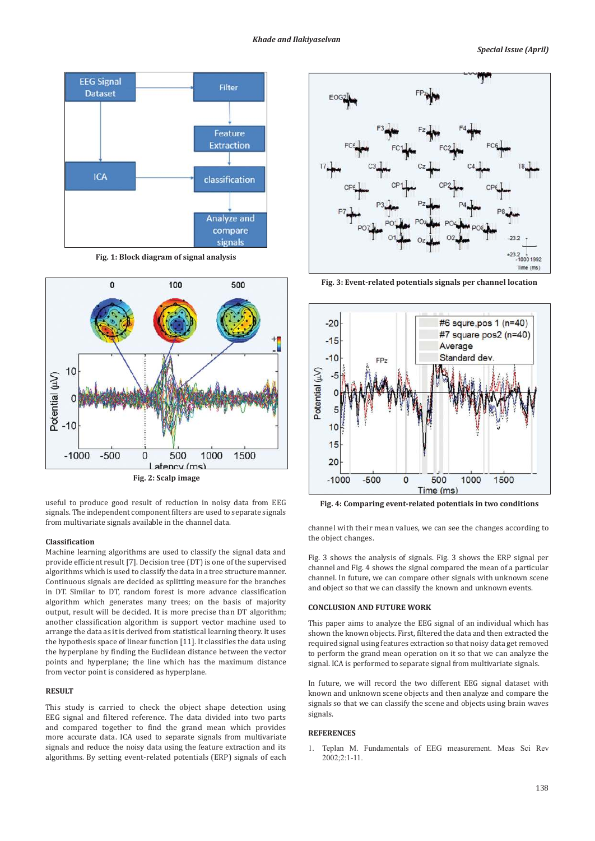

**Fig. 1: Block diagram of signal analysis**



useful to produce good result of reduction in noisy data from EEG signals. The independent component filters are used to separate signals from multivariate signals available in the channel data.

## **Classification**

Machine learning algorithms are used to classify the signal data and provide efficient result [7]. Decision tree (DT) is one of the supervised algorithms which is used to classify the data in a tree structure manner. Continuous signals are decided as splitting measure for the branches in DT. Similar to DT, random forest is more advance classification algorithm which generates many trees; on the basis of majority output, result will be decided. It is more precise than DT algorithm; another classification algorithm is support vector machine used to arrange the data as it is derived from statistical learning theory. It uses the hypothesis space of linear function [11]. It classifies the data using the hyperplane by finding the Euclidean distance between the vector points and hyperplane; the line which has the maximum distance from vector point is considered as hyperplane.

#### **RESULT**

This study is carried to check the object shape detection using EEG signal and filtered reference. The data divided into two parts and compared together to find the grand mean which provides more accurate data. ICA used to separate signals from multivariate signals and reduce the noisy data using the feature extraction and its algorithms. By setting event-related potentials (ERP) signals of each



**Fig. 3: Event-related potentials signals per channel location**



**Fig. 4: Comparing event-related potentials in two conditions**

channel with their mean values, we can see the changes according to the object changes.

Fig. 3 shows the analysis of signals. Fig. 3 shows the ERP signal per channel and Fig. 4 shows the signal compared the mean of a particular channel. In future, we can compare other signals with unknown scene and object so that we can classify the known and unknown events.

#### **CONCLUSION AND FUTURE WORK**

This paper aims to analyze the EEG signal of an individual which has shown the known objects. First, filtered the data and then extracted the required signal using features extraction so that noisy data get removed to perform the grand mean operation on it so that we can analyze the signal. ICA is performed to separate signal from multivariate signals.

In future, we will record the two different EEG signal dataset with known and unknown scene objects and then analyze and compare the signals so that we can classify the scene and objects using brain waves signals.

#### **REFERENCES**

1. Teplan M. Fundamentals of EEG measurement. Meas Sci Rev 2002;2:1-11.